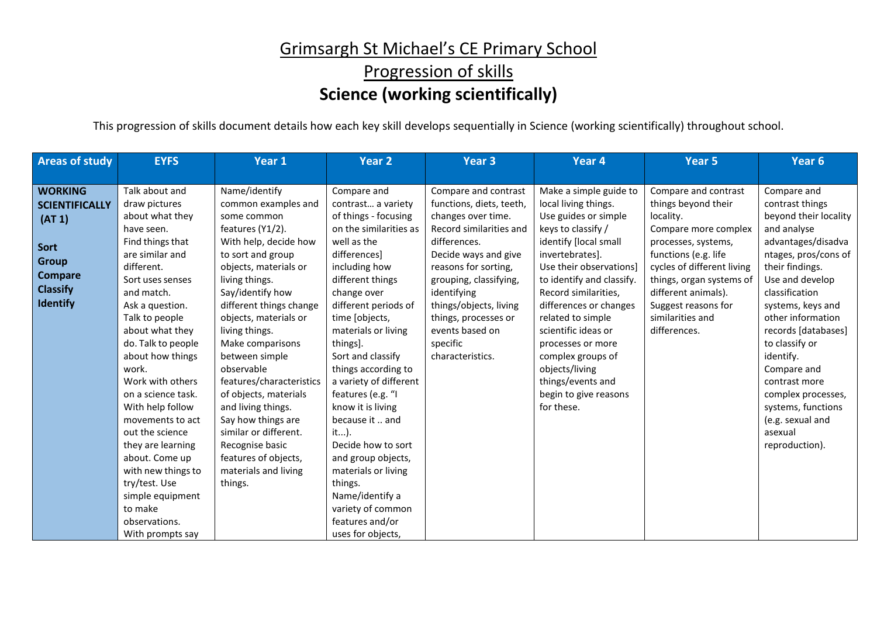#### Grimsargh St Michael's CE Primary School Progression of skills **Science (working scientifically)**

This progression of skills document details how each key skill develops sequentially in Science (working scientifically) throughout school.

| <b>Areas of study</b>                                                                                                             | <b>EYFS</b>                                                                                                                                                                                                                                                                                                                                                                                                                                                                                           | Year 1                                                                                                                                                                                                                                                                                                                                                                                                                                                                                                                 | <b>Year 2</b>                                                                                                                                                                                                                                                                                                                                                                                                                                                                                                                           | <b>Year 3</b>                                                                                                                                                                                                                                                                                                   | Year 4                                                                                                                                                                                                                                                                                                                                                                                                                 | Year <sub>5</sub>                                                                                                                                                                                                                                                           | Year 6                                                                                                                                                                                                                                                                                                                                                                                                    |
|-----------------------------------------------------------------------------------------------------------------------------------|-------------------------------------------------------------------------------------------------------------------------------------------------------------------------------------------------------------------------------------------------------------------------------------------------------------------------------------------------------------------------------------------------------------------------------------------------------------------------------------------------------|------------------------------------------------------------------------------------------------------------------------------------------------------------------------------------------------------------------------------------------------------------------------------------------------------------------------------------------------------------------------------------------------------------------------------------------------------------------------------------------------------------------------|-----------------------------------------------------------------------------------------------------------------------------------------------------------------------------------------------------------------------------------------------------------------------------------------------------------------------------------------------------------------------------------------------------------------------------------------------------------------------------------------------------------------------------------------|-----------------------------------------------------------------------------------------------------------------------------------------------------------------------------------------------------------------------------------------------------------------------------------------------------------------|------------------------------------------------------------------------------------------------------------------------------------------------------------------------------------------------------------------------------------------------------------------------------------------------------------------------------------------------------------------------------------------------------------------------|-----------------------------------------------------------------------------------------------------------------------------------------------------------------------------------------------------------------------------------------------------------------------------|-----------------------------------------------------------------------------------------------------------------------------------------------------------------------------------------------------------------------------------------------------------------------------------------------------------------------------------------------------------------------------------------------------------|
|                                                                                                                                   |                                                                                                                                                                                                                                                                                                                                                                                                                                                                                                       |                                                                                                                                                                                                                                                                                                                                                                                                                                                                                                                        |                                                                                                                                                                                                                                                                                                                                                                                                                                                                                                                                         |                                                                                                                                                                                                                                                                                                                 |                                                                                                                                                                                                                                                                                                                                                                                                                        |                                                                                                                                                                                                                                                                             |                                                                                                                                                                                                                                                                                                                                                                                                           |
| <b>WORKING</b><br><b>SCIENTIFICALLY</b><br>(AT 1)<br>Sort<br><b>Group</b><br><b>Compare</b><br><b>Classify</b><br><b>Identify</b> | Talk about and<br>draw pictures<br>about what they<br>have seen.<br>Find things that<br>are similar and<br>different.<br>Sort uses senses<br>and match.<br>Ask a question.<br>Talk to people<br>about what they<br>do. Talk to people<br>about how things<br>work.<br>Work with others<br>on a science task.<br>With help follow<br>movements to act<br>out the science<br>they are learning<br>about. Come up<br>with new things to<br>try/test. Use<br>simple equipment<br>to make<br>observations. | Name/identify<br>common examples and<br>some common<br>features (Y1/2).<br>With help, decide how<br>to sort and group<br>objects, materials or<br>living things.<br>Say/identify how<br>different things change<br>objects, materials or<br>living things.<br>Make comparisons<br>between simple<br>observable<br>features/characteristics<br>of objects, materials<br>and living things.<br>Say how things are<br>similar or different.<br>Recognise basic<br>features of objects,<br>materials and living<br>things. | Compare and<br>contrast a variety<br>of things - focusing<br>on the similarities as<br>well as the<br>differences]<br>including how<br>different things<br>change over<br>different periods of<br>time [objects,<br>materials or living<br>things].<br>Sort and classify<br>things according to<br>a variety of different<br>features (e.g. "I<br>know it is living<br>because it  and<br>it).<br>Decide how to sort<br>and group objects,<br>materials or living<br>things.<br>Name/identify a<br>variety of common<br>features and/or | Compare and contrast<br>functions, diets, teeth,<br>changes over time.<br>Record similarities and<br>differences.<br>Decide ways and give<br>reasons for sorting,<br>grouping, classifying,<br>identifying<br>things/objects, living<br>things, processes or<br>events based on<br>specific<br>characteristics. | Make a simple guide to<br>local living things.<br>Use guides or simple<br>keys to classify /<br>identify [local small<br>invertebrates].<br>Use their observations]<br>to identify and classify.<br>Record similarities,<br>differences or changes<br>related to simple<br>scientific ideas or<br>processes or more<br>complex groups of<br>objects/living<br>things/events and<br>begin to give reasons<br>for these. | Compare and contrast<br>things beyond their<br>locality.<br>Compare more complex<br>processes, systems,<br>functions (e.g. life<br>cycles of different living<br>things, organ systems of<br>different animals).<br>Suggest reasons for<br>similarities and<br>differences. | Compare and<br>contrast things<br>beyond their locality<br>and analyse<br>advantages/disadva<br>ntages, pros/cons of<br>their findings.<br>Use and develop<br>classification<br>systems, keys and<br>other information<br>records [databases]<br>to classify or<br>identify.<br>Compare and<br>contrast more<br>complex processes,<br>systems, functions<br>(e.g. sexual and<br>asexual<br>reproduction). |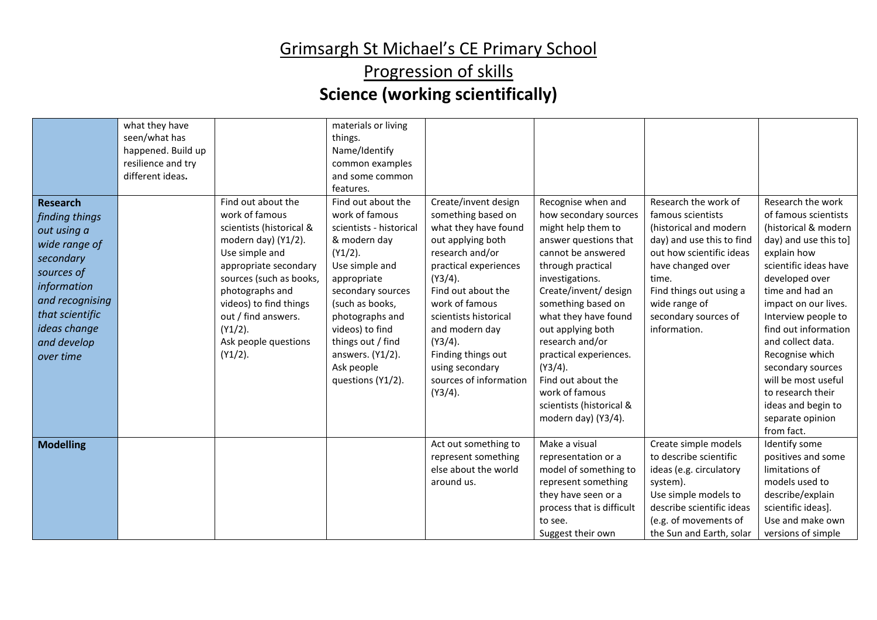| <b>Research</b><br>finding things<br>out using a<br>wide range of<br>secondary<br>sources of<br>information<br>and recognising<br>that scientific<br>ideas change<br>and develop<br>over time | what they have<br>seen/what has<br>happened. Build up<br>resilience and try<br>different ideas. | Find out about the<br>work of famous<br>scientists (historical &<br>modern day) (Y1/2).<br>Use simple and<br>appropriate secondary<br>sources (such as books,<br>photographs and<br>videos) to find things<br>out / find answers.<br>$(Y1/2)$ .<br>Ask people questions<br>$(Y1/2)$ . | materials or living<br>things.<br>Name/Identify<br>common examples<br>and some common<br>features.<br>Find out about the<br>work of famous<br>scientists - historical<br>& modern day<br>$(Y1/2)$ .<br>Use simple and<br>appropriate<br>secondary sources<br>(such as books,<br>photographs and<br>videos) to find<br>things out / find<br>answers. (Y1/2).<br>Ask people<br>questions (Y1/2). | Create/invent design<br>something based on<br>what they have found<br>out applying both<br>research and/or<br>practical experiences<br>$(Y3/4)$ .<br>Find out about the<br>work of famous<br>scientists historical<br>and modern day<br>$(Y3/4)$ .<br>Finding things out<br>using secondary<br>sources of information<br>$(Y3/4)$ . | Recognise when and<br>how secondary sources<br>might help them to<br>answer questions that<br>cannot be answered<br>through practical<br>investigations.<br>Create/invent/ design<br>something based on<br>what they have found<br>out applying both<br>research and/or<br>practical experiences.<br>$(Y3/4)$ .<br>Find out about the<br>work of famous<br>scientists (historical &<br>modern day) (Y3/4). | Research the work of<br>famous scientists<br>(historical and modern<br>day) and use this to find<br>out how scientific ideas<br>have changed over<br>time.<br>Find things out using a<br>wide range of<br>secondary sources of<br>information. | Research the work<br>of famous scientists<br>(historical & modern<br>day) and use this to]<br>explain how<br>scientific ideas have<br>developed over<br>time and had an<br>impact on our lives.<br>Interview people to<br>find out information<br>and collect data.<br>Recognise which<br>secondary sources<br>will be most useful<br>to research their<br>ideas and begin to<br>separate opinion<br>from fact. |
|-----------------------------------------------------------------------------------------------------------------------------------------------------------------------------------------------|-------------------------------------------------------------------------------------------------|---------------------------------------------------------------------------------------------------------------------------------------------------------------------------------------------------------------------------------------------------------------------------------------|------------------------------------------------------------------------------------------------------------------------------------------------------------------------------------------------------------------------------------------------------------------------------------------------------------------------------------------------------------------------------------------------|-------------------------------------------------------------------------------------------------------------------------------------------------------------------------------------------------------------------------------------------------------------------------------------------------------------------------------------|------------------------------------------------------------------------------------------------------------------------------------------------------------------------------------------------------------------------------------------------------------------------------------------------------------------------------------------------------------------------------------------------------------|------------------------------------------------------------------------------------------------------------------------------------------------------------------------------------------------------------------------------------------------|-----------------------------------------------------------------------------------------------------------------------------------------------------------------------------------------------------------------------------------------------------------------------------------------------------------------------------------------------------------------------------------------------------------------|
| <b>Modelling</b>                                                                                                                                                                              |                                                                                                 |                                                                                                                                                                                                                                                                                       |                                                                                                                                                                                                                                                                                                                                                                                                | Act out something to<br>represent something<br>else about the world<br>around us.                                                                                                                                                                                                                                                   | Make a visual<br>representation or a<br>model of something to<br>represent something<br>they have seen or a<br>process that is difficult<br>to see.<br>Suggest their own                                                                                                                                                                                                                                   | Create simple models<br>to describe scientific<br>ideas (e.g. circulatory<br>system).<br>Use simple models to<br>describe scientific ideas<br>(e.g. of movements of<br>the Sun and Earth, solar                                                | Identify some<br>positives and some<br>limitations of<br>models used to<br>describe/explain<br>scientific ideas].<br>Use and make own<br>versions of simple                                                                                                                                                                                                                                                     |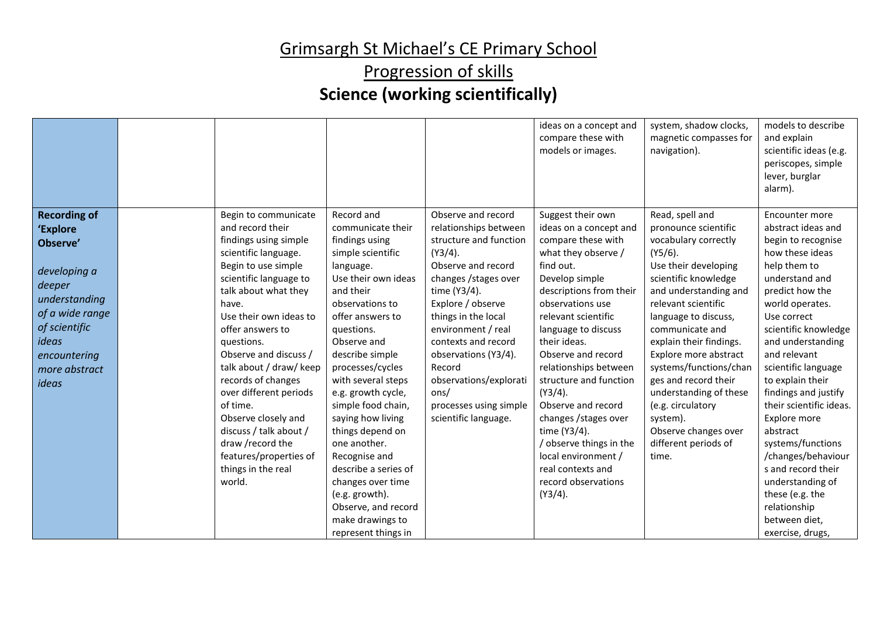|                                                                                                                                                                               |                                                                                                                                                                                                                                                                                                                                                                                                                                                                                        |                                                                                                                                                                                                                                                                                                                                                                                                                                                                                                                 |                                                                                                                                                                                                                                                                                                                                                                   | ideas on a concept and<br>compare these with<br>models or images.                                                                                                                                                                                                                                                                                                                                                                                                                                      | system, shadow clocks,<br>magnetic compasses for<br>navigation).                                                                                                                                                                                                                                                                                                                                                                                   | models to describe<br>and explain<br>scientific ideas (e.g.<br>periscopes, simple<br>lever, burglar<br>alarm).                                                                                                                                                                                                                                                                                                                                                                                                           |
|-------------------------------------------------------------------------------------------------------------------------------------------------------------------------------|----------------------------------------------------------------------------------------------------------------------------------------------------------------------------------------------------------------------------------------------------------------------------------------------------------------------------------------------------------------------------------------------------------------------------------------------------------------------------------------|-----------------------------------------------------------------------------------------------------------------------------------------------------------------------------------------------------------------------------------------------------------------------------------------------------------------------------------------------------------------------------------------------------------------------------------------------------------------------------------------------------------------|-------------------------------------------------------------------------------------------------------------------------------------------------------------------------------------------------------------------------------------------------------------------------------------------------------------------------------------------------------------------|--------------------------------------------------------------------------------------------------------------------------------------------------------------------------------------------------------------------------------------------------------------------------------------------------------------------------------------------------------------------------------------------------------------------------------------------------------------------------------------------------------|----------------------------------------------------------------------------------------------------------------------------------------------------------------------------------------------------------------------------------------------------------------------------------------------------------------------------------------------------------------------------------------------------------------------------------------------------|--------------------------------------------------------------------------------------------------------------------------------------------------------------------------------------------------------------------------------------------------------------------------------------------------------------------------------------------------------------------------------------------------------------------------------------------------------------------------------------------------------------------------|
| <b>Recording of</b><br>'Explore<br>Observe'<br>developing a<br>deeper<br>understanding<br>of a wide range<br>of scientific<br>ideas<br>encountering<br>more abstract<br>ideas | Begin to communicate<br>and record their<br>findings using simple<br>scientific language.<br>Begin to use simple<br>scientific language to<br>talk about what they<br>have.<br>Use their own ideas to<br>offer answers to<br>questions.<br>Observe and discuss /<br>talk about / draw/ keep<br>records of changes<br>over different periods<br>of time.<br>Observe closely and<br>discuss / talk about /<br>draw /record the<br>features/properties of<br>things in the real<br>world. | Record and<br>communicate their<br>findings using<br>simple scientific<br>language.<br>Use their own ideas<br>and their<br>observations to<br>offer answers to<br>questions.<br>Observe and<br>describe simple<br>processes/cycles<br>with several steps<br>e.g. growth cycle,<br>simple food chain,<br>saying how living<br>things depend on<br>one another.<br>Recognise and<br>describe a series of<br>changes over time<br>(e.g. growth).<br>Observe, and record<br>make drawings to<br>represent things in | Observe and record<br>relationships between<br>structure and function<br>$(Y3/4)$ .<br>Observe and record<br>changes / stages over<br>time (Y3/4).<br>Explore / observe<br>things in the local<br>environment / real<br>contexts and record<br>observations (Y3/4).<br>Record<br>observations/explorati<br>ons/<br>processes using simple<br>scientific language. | Suggest their own<br>ideas on a concept and<br>compare these with<br>what they observe /<br>find out.<br>Develop simple<br>descriptions from their<br>observations use<br>relevant scientific<br>language to discuss<br>their ideas.<br>Observe and record<br>relationships between<br>structure and function<br>$(Y3/4)$ .<br>Observe and record<br>changes / stages over<br>time (Y3/4).<br>/ observe things in the<br>local environment /<br>real contexts and<br>record observations<br>$(Y3/4)$ . | Read, spell and<br>pronounce scientific<br>vocabulary correctly<br>$(Y5/6)$ .<br>Use their developing<br>scientific knowledge<br>and understanding and<br>relevant scientific<br>language to discuss,<br>communicate and<br>explain their findings.<br>Explore more abstract<br>systems/functions/chan<br>ges and record their<br>understanding of these<br>(e.g. circulatory<br>system).<br>Observe changes over<br>different periods of<br>time. | Encounter more<br>abstract ideas and<br>begin to recognise<br>how these ideas<br>help them to<br>understand and<br>predict how the<br>world operates.<br>Use correct<br>scientific knowledge<br>and understanding<br>and relevant<br>scientific language<br>to explain their<br>findings and justify<br>their scientific ideas.<br>Explore more<br>abstract<br>systems/functions<br>/changes/behaviour<br>s and record their<br>understanding of<br>these (e.g. the<br>relationship<br>between diet,<br>exercise, drugs, |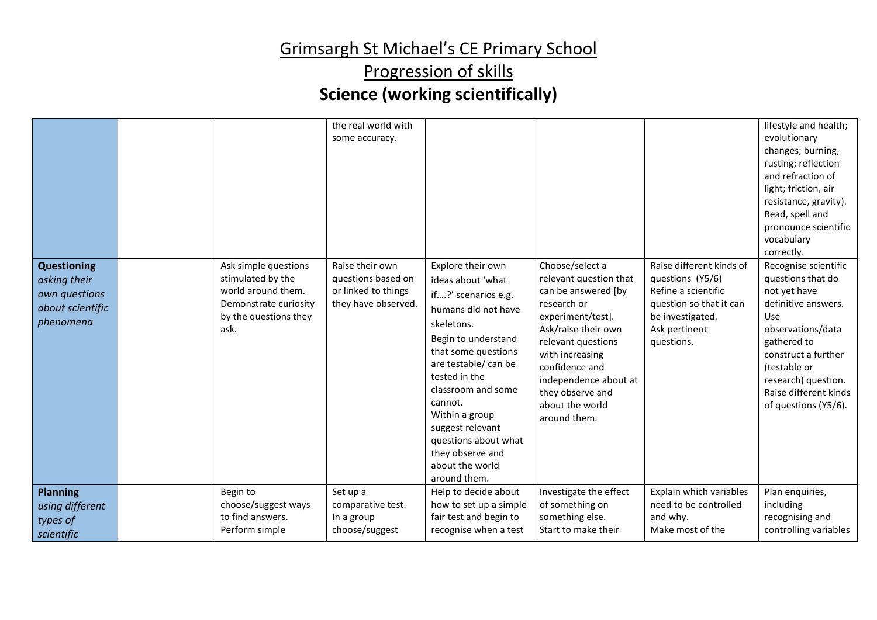| <b>Questioning</b><br>asking their<br>own questions<br>about scientific<br>phenomena<br><b>Planning</b> | Ask simple questions<br>stimulated by the<br>world around them.<br>Demonstrate curiosity<br>by the questions they<br>ask.<br>Begin to | the real world with<br>some accuracy.<br>Raise their own<br>questions based on<br>or linked to things<br>they have observed.<br>Set up a | Explore their own<br>ideas about 'what<br>if?' scenarios e.g.<br>humans did not have<br>skeletons.<br>Begin to understand<br>that some questions<br>are testable/ can be<br>tested in the<br>classroom and some<br>cannot.<br>Within a group<br>suggest relevant<br>questions about what<br>they observe and<br>about the world<br>around them.<br>Help to decide about | Choose/select a<br>relevant question that<br>can be answered [by<br>research or<br>experiment/test].<br>Ask/raise their own<br>relevant questions<br>with increasing<br>confidence and<br>independence about at<br>they observe and<br>about the world<br>around them.<br>Investigate the effect | Raise different kinds of<br>questions (Y5/6)<br>Refine a scientific<br>question so that it can<br>be investigated.<br>Ask pertinent<br>questions.<br>Explain which variables | lifestyle and health;<br>evolutionary<br>changes; burning,<br>rusting; reflection<br>and refraction of<br>light; friction, air<br>resistance, gravity).<br>Read, spell and<br>pronounce scientific<br>vocabulary<br>correctly.<br>Recognise scientific<br>questions that do<br>not yet have<br>definitive answers.<br>Use<br>observations/data<br>gathered to<br>construct a further<br>(testable or<br>research) question.<br>Raise different kinds<br>of questions (Y5/6).<br>Plan enquiries, |
|---------------------------------------------------------------------------------------------------------|---------------------------------------------------------------------------------------------------------------------------------------|------------------------------------------------------------------------------------------------------------------------------------------|-------------------------------------------------------------------------------------------------------------------------------------------------------------------------------------------------------------------------------------------------------------------------------------------------------------------------------------------------------------------------|--------------------------------------------------------------------------------------------------------------------------------------------------------------------------------------------------------------------------------------------------------------------------------------------------|------------------------------------------------------------------------------------------------------------------------------------------------------------------------------|-------------------------------------------------------------------------------------------------------------------------------------------------------------------------------------------------------------------------------------------------------------------------------------------------------------------------------------------------------------------------------------------------------------------------------------------------------------------------------------------------|
| using different                                                                                         | choose/suggest ways                                                                                                                   | comparative test.                                                                                                                        | how to set up a simple                                                                                                                                                                                                                                                                                                                                                  | of something on                                                                                                                                                                                                                                                                                  | need to be controlled                                                                                                                                                        | including                                                                                                                                                                                                                                                                                                                                                                                                                                                                                       |
| types of                                                                                                | to find answers.                                                                                                                      | In a group                                                                                                                               | fair test and begin to                                                                                                                                                                                                                                                                                                                                                  | something else.                                                                                                                                                                                                                                                                                  | and why.                                                                                                                                                                     | recognising and                                                                                                                                                                                                                                                                                                                                                                                                                                                                                 |
| scientific                                                                                              | Perform simple                                                                                                                        | choose/suggest                                                                                                                           | recognise when a test                                                                                                                                                                                                                                                                                                                                                   | Start to make their                                                                                                                                                                                                                                                                              | Make most of the                                                                                                                                                             | controlling variables                                                                                                                                                                                                                                                                                                                                                                                                                                                                           |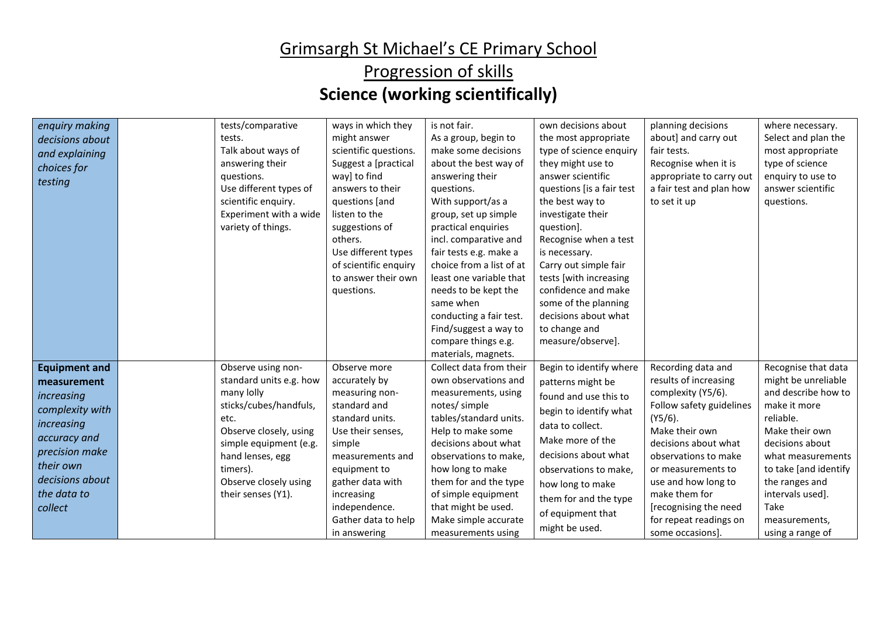| enquiry making<br>decisions about<br>and explaining<br>choices for<br>testing                                                                                                  | tests/comparative<br>tests.<br>Talk about ways of<br>answering their<br>questions.<br>Use different types of<br>scientific enquiry.<br>Experiment with a wide<br>variety of things.                                              | ways in which they<br>might answer<br>scientific questions.<br>Suggest a [practical<br>way] to find<br>answers to their<br>questions [and<br>listen to the<br>suggestions of<br>others.<br>Use different types<br>of scientific enquiry<br>to answer their own<br>questions. | is not fair.<br>As a group, begin to<br>make some decisions<br>about the best way of<br>answering their<br>questions.<br>With support/as a<br>group, set up simple<br>practical enquiries<br>incl. comparative and<br>fair tests e.g. make a<br>choice from a list of at<br>least one variable that<br>needs to be kept the<br>same when<br>conducting a fair test.<br>Find/suggest a way to<br>compare things e.g.<br>materials, magnets. | own decisions about<br>the most appropriate<br>type of science enquiry<br>they might use to<br>answer scientific<br>questions [is a fair test<br>the best way to<br>investigate their<br>question].<br>Recognise when a test<br>is necessary.<br>Carry out simple fair<br>tests [with increasing<br>confidence and make<br>some of the planning<br>decisions about what<br>to change and<br>measure/observe]. | planning decisions<br>about] and carry out<br>fair tests.<br>Recognise when it is<br>appropriate to carry out<br>a fair test and plan how<br>to set it up                                                                                                                                                          | where necessary.<br>Select and plan the<br>most appropriate<br>type of science<br>enquiry to use to<br>answer scientific<br>questions.                                                                                                                               |
|--------------------------------------------------------------------------------------------------------------------------------------------------------------------------------|----------------------------------------------------------------------------------------------------------------------------------------------------------------------------------------------------------------------------------|------------------------------------------------------------------------------------------------------------------------------------------------------------------------------------------------------------------------------------------------------------------------------|--------------------------------------------------------------------------------------------------------------------------------------------------------------------------------------------------------------------------------------------------------------------------------------------------------------------------------------------------------------------------------------------------------------------------------------------|---------------------------------------------------------------------------------------------------------------------------------------------------------------------------------------------------------------------------------------------------------------------------------------------------------------------------------------------------------------------------------------------------------------|--------------------------------------------------------------------------------------------------------------------------------------------------------------------------------------------------------------------------------------------------------------------------------------------------------------------|----------------------------------------------------------------------------------------------------------------------------------------------------------------------------------------------------------------------------------------------------------------------|
| <b>Equipment and</b><br>measurement<br>increasing<br>complexity with<br>increasing<br>accuracy and<br>precision make<br>their own<br>decisions about<br>the data to<br>collect | Observe using non-<br>standard units e.g. how<br>many lolly<br>sticks/cubes/handfuls,<br>etc.<br>Observe closely, using<br>simple equipment (e.g.<br>hand lenses, egg<br>timers).<br>Observe closely using<br>their senses (Y1). | Observe more<br>accurately by<br>measuring non-<br>standard and<br>standard units.<br>Use their senses,<br>simple<br>measurements and<br>equipment to<br>gather data with<br>increasing<br>independence.<br>Gather data to help<br>in answering                              | Collect data from their<br>own observations and<br>measurements, using<br>notes/ simple<br>tables/standard units.<br>Help to make some<br>decisions about what<br>observations to make,<br>how long to make<br>them for and the type<br>of simple equipment<br>that might be used.<br>Make simple accurate<br>measurements using                                                                                                           | Begin to identify where<br>patterns might be<br>found and use this to<br>begin to identify what<br>data to collect.<br>Make more of the<br>decisions about what<br>observations to make,<br>how long to make<br>them for and the type<br>of equipment that<br>might be used.                                                                                                                                  | Recording data and<br>results of increasing<br>complexity (Y5/6).<br>Follow safety guidelines<br>$(Y5/6)$ .<br>Make their own<br>decisions about what<br>observations to make<br>or measurements to<br>use and how long to<br>make them for<br>[recognising the need<br>for repeat readings on<br>some occasions]. | Recognise that data<br>might be unreliable<br>and describe how to<br>make it more<br>reliable.<br>Make their own<br>decisions about<br>what measurements<br>to take [and identify<br>the ranges and<br>intervals used].<br>Take<br>measurements,<br>using a range of |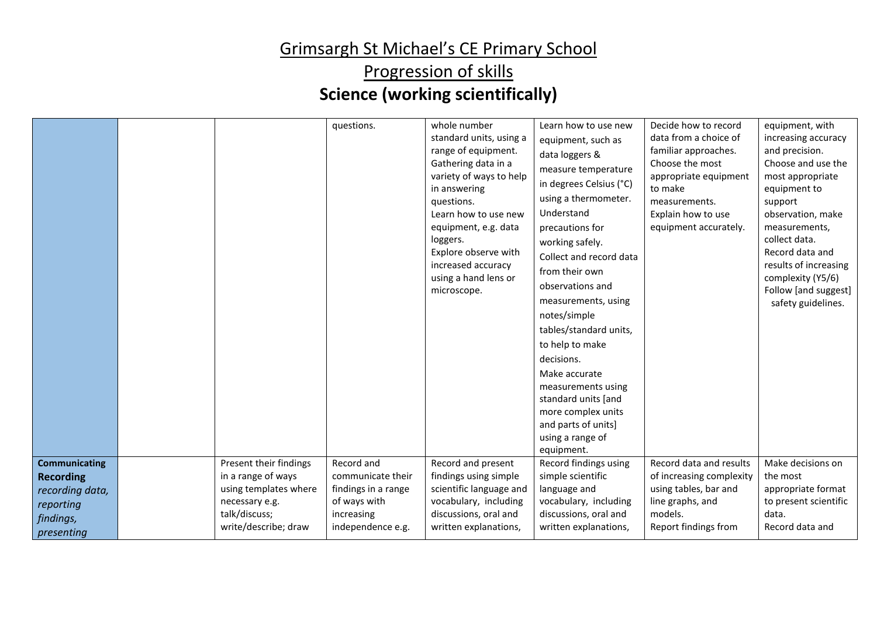|                                           |                                                          | questions.                                        | whole number<br>standard units, using a<br>range of equipment.<br>Gathering data in a<br>variety of ways to help<br>in answering<br>questions.<br>Learn how to use new<br>equipment, e.g. data<br>loggers.<br>Explore observe with<br>increased accuracy<br>using a hand lens or<br>microscope. | Learn how to use new<br>equipment, such as<br>data loggers &<br>measure temperature<br>in degrees Celsius (°C)<br>using a thermometer.<br>Understand<br>precautions for<br>working safely.<br>Collect and record data<br>from their own<br>observations and<br>measurements, using<br>notes/simple<br>tables/standard units,<br>to help to make<br>decisions.<br>Make accurate<br>measurements using<br>standard units [and<br>more complex units<br>and parts of units]<br>using a range of<br>equipment. | Decide how to record<br>data from a choice of<br>familiar approaches.<br>Choose the most<br>appropriate equipment<br>to make<br>measurements.<br>Explain how to use<br>equipment accurately. | equipment, with<br>increasing accuracy<br>and precision.<br>Choose and use the<br>most appropriate<br>equipment to<br>support<br>observation, make<br>measurements,<br>collect data.<br>Record data and<br>results of increasing<br>complexity (Y5/6)<br>Follow [and suggest]<br>safety guidelines. |
|-------------------------------------------|----------------------------------------------------------|---------------------------------------------------|-------------------------------------------------------------------------------------------------------------------------------------------------------------------------------------------------------------------------------------------------------------------------------------------------|------------------------------------------------------------------------------------------------------------------------------------------------------------------------------------------------------------------------------------------------------------------------------------------------------------------------------------------------------------------------------------------------------------------------------------------------------------------------------------------------------------|----------------------------------------------------------------------------------------------------------------------------------------------------------------------------------------------|-----------------------------------------------------------------------------------------------------------------------------------------------------------------------------------------------------------------------------------------------------------------------------------------------------|
| <b>Communicating</b><br><b>Recording</b>  | Present their findings<br>in a range of ways             | Record and<br>communicate their                   | Record and present<br>findings using simple                                                                                                                                                                                                                                                     | Record findings using<br>simple scientific                                                                                                                                                                                                                                                                                                                                                                                                                                                                 | Record data and results<br>of increasing complexity                                                                                                                                          | Make decisions on<br>the most                                                                                                                                                                                                                                                                       |
| recording data,<br>reporting<br>findings, | using templates where<br>necessary e.g.<br>talk/discuss; | findings in a range<br>of ways with<br>increasing | scientific language and<br>vocabulary, including<br>discussions, oral and                                                                                                                                                                                                                       | language and<br>vocabulary, including<br>discussions, oral and                                                                                                                                                                                                                                                                                                                                                                                                                                             | using tables, bar and<br>line graphs, and<br>models.                                                                                                                                         | appropriate format<br>to present scientific<br>data.<br>Record data and                                                                                                                                                                                                                             |
| presenting                                | write/describe; draw                                     | independence e.g.                                 | written explanations,                                                                                                                                                                                                                                                                           | written explanations,                                                                                                                                                                                                                                                                                                                                                                                                                                                                                      | Report findings from                                                                                                                                                                         |                                                                                                                                                                                                                                                                                                     |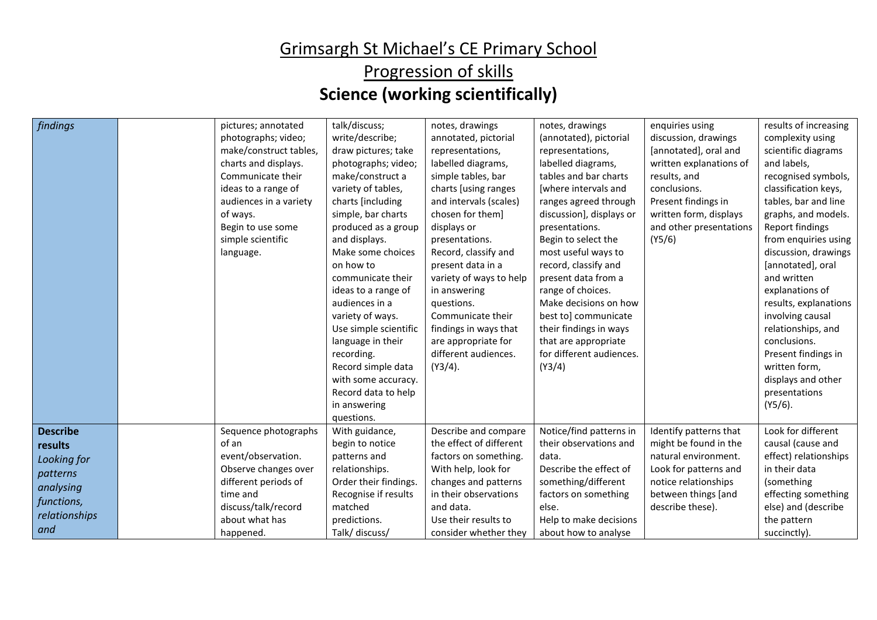| findings                                                                                                 | pictures; annotated<br>photographs; video;<br>make/construct tables,<br>charts and displays.<br>Communicate their<br>ideas to a range of<br>audiences in a variety<br>of ways.<br>Begin to use some<br>simple scientific<br>language. | talk/discuss;<br>write/describe;<br>draw pictures; take<br>photographs; video;<br>make/construct a<br>variety of tables,<br>charts [including<br>simple, bar charts<br>produced as a group<br>and displays.<br>Make some choices<br>on how to<br>communicate their<br>ideas to a range of<br>audiences in a<br>variety of ways.<br>Use simple scientific<br>language in their<br>recording.<br>Record simple data<br>with some accuracy. | notes, drawings<br>annotated, pictorial<br>representations,<br>labelled diagrams,<br>simple tables, bar<br>charts [using ranges<br>and intervals (scales)<br>chosen for them]<br>displays or<br>presentations.<br>Record, classify and<br>present data in a<br>variety of ways to help<br>in answering<br>questions.<br>Communicate their<br>findings in ways that<br>are appropriate for<br>different audiences.<br>$(Y3/4)$ . | notes, drawings<br>(annotated), pictorial<br>representations,<br>labelled diagrams,<br>tables and bar charts<br>[where intervals and<br>ranges agreed through<br>discussion], displays or<br>presentations.<br>Begin to select the<br>most useful ways to<br>record, classify and<br>present data from a<br>range of choices.<br>Make decisions on how<br>best to] communicate<br>their findings in ways<br>that are appropriate<br>for different audiences.<br>(Y3/4) | enquiries using<br>discussion, drawings<br>[annotated], oral and<br>written explanations of<br>results, and<br>conclusions.<br>Present findings in<br>written form, displays<br>and other presentations<br>(Y5/6) | results of increasing<br>complexity using<br>scientific diagrams<br>and labels,<br>recognised symbols,<br>classification keys,<br>tables, bar and line<br>graphs, and models.<br>Report findings<br>from enquiries using<br>discussion, drawings<br>[annotated], oral<br>and written<br>explanations of<br>results, explanations<br>involving causal<br>relationships, and<br>conclusions.<br>Present findings in<br>written form,<br>displays and other |
|----------------------------------------------------------------------------------------------------------|---------------------------------------------------------------------------------------------------------------------------------------------------------------------------------------------------------------------------------------|------------------------------------------------------------------------------------------------------------------------------------------------------------------------------------------------------------------------------------------------------------------------------------------------------------------------------------------------------------------------------------------------------------------------------------------|---------------------------------------------------------------------------------------------------------------------------------------------------------------------------------------------------------------------------------------------------------------------------------------------------------------------------------------------------------------------------------------------------------------------------------|------------------------------------------------------------------------------------------------------------------------------------------------------------------------------------------------------------------------------------------------------------------------------------------------------------------------------------------------------------------------------------------------------------------------------------------------------------------------|-------------------------------------------------------------------------------------------------------------------------------------------------------------------------------------------------------------------|----------------------------------------------------------------------------------------------------------------------------------------------------------------------------------------------------------------------------------------------------------------------------------------------------------------------------------------------------------------------------------------------------------------------------------------------------------|
|                                                                                                          |                                                                                                                                                                                                                                       | Record data to help<br>in answering<br>questions.                                                                                                                                                                                                                                                                                                                                                                                        |                                                                                                                                                                                                                                                                                                                                                                                                                                 |                                                                                                                                                                                                                                                                                                                                                                                                                                                                        |                                                                                                                                                                                                                   | presentations<br>$(Y5/6)$ .                                                                                                                                                                                                                                                                                                                                                                                                                              |
| <b>Describe</b><br>results<br>Looking for<br>patterns<br>analysing<br>functions,<br>relationships<br>and | Sequence photographs<br>of an<br>event/observation.<br>Observe changes over<br>different periods of<br>time and<br>discuss/talk/record<br>about what has<br>happened.                                                                 | With guidance,<br>begin to notice<br>patterns and<br>relationships.<br>Order their findings.<br>Recognise if results<br>matched<br>predictions.<br>Talk/ discuss/                                                                                                                                                                                                                                                                        | Describe and compare<br>the effect of different<br>factors on something.<br>With help, look for<br>changes and patterns<br>in their observations<br>and data.<br>Use their results to<br>consider whether they                                                                                                                                                                                                                  | Notice/find patterns in<br>their observations and<br>data.<br>Describe the effect of<br>something/different<br>factors on something<br>else.<br>Help to make decisions<br>about how to analyse                                                                                                                                                                                                                                                                         | Identify patterns that<br>might be found in the<br>natural environment.<br>Look for patterns and<br>notice relationships<br>between things [and<br>describe these).                                               | Look for different<br>causal (cause and<br>effect) relationships<br>in their data<br>(something<br>effecting something<br>else) and (describe<br>the pattern<br>succinctly).                                                                                                                                                                                                                                                                             |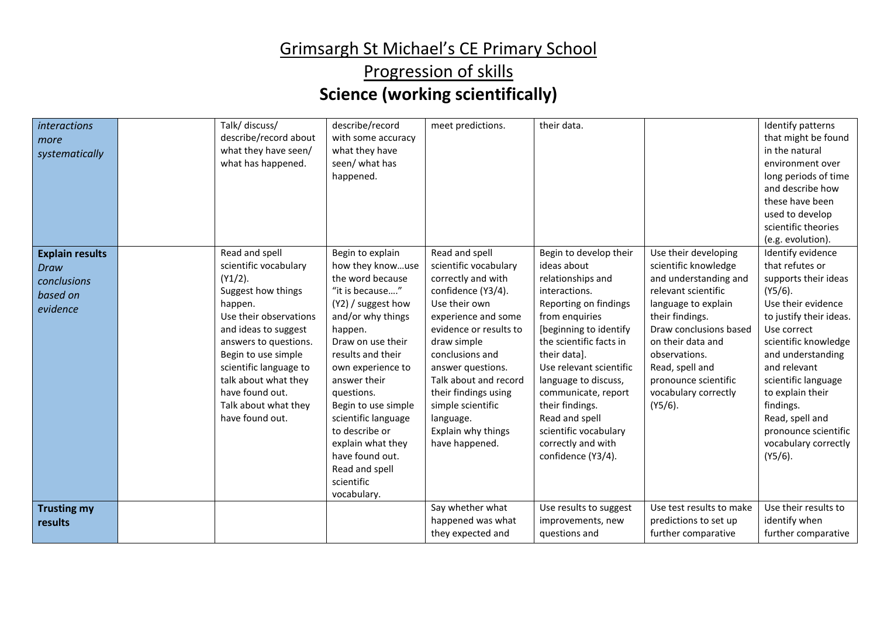| interactions<br>more<br>systematically                                | Talk/ discuss/<br>describe/record about<br>what they have seen/<br>what has happened.                                                                                                                                                                                                                    | describe/record<br>with some accuracy<br>what they have<br>seen/ what has<br>happened.                                                                                                                                                                                                                                                                                                | meet predictions.                                                                                                                                                                                                                                                                                                                       | their data.                                                                                                                                                                                                                                                                                                                                                                     |                                                                                                                                                                                                                                                                                         | Identify patterns<br>that might be found<br>in the natural<br>environment over<br>long periods of time<br>and describe how<br>these have been<br>used to develop<br>scientific theories<br>(e.g. evolution).                                                                                                                                     |
|-----------------------------------------------------------------------|----------------------------------------------------------------------------------------------------------------------------------------------------------------------------------------------------------------------------------------------------------------------------------------------------------|---------------------------------------------------------------------------------------------------------------------------------------------------------------------------------------------------------------------------------------------------------------------------------------------------------------------------------------------------------------------------------------|-----------------------------------------------------------------------------------------------------------------------------------------------------------------------------------------------------------------------------------------------------------------------------------------------------------------------------------------|---------------------------------------------------------------------------------------------------------------------------------------------------------------------------------------------------------------------------------------------------------------------------------------------------------------------------------------------------------------------------------|-----------------------------------------------------------------------------------------------------------------------------------------------------------------------------------------------------------------------------------------------------------------------------------------|--------------------------------------------------------------------------------------------------------------------------------------------------------------------------------------------------------------------------------------------------------------------------------------------------------------------------------------------------|
| <b>Explain results</b><br>Draw<br>conclusions<br>based on<br>evidence | Read and spell<br>scientific vocabulary<br>$(Y1/2)$ .<br>Suggest how things<br>happen.<br>Use their observations<br>and ideas to suggest<br>answers to questions.<br>Begin to use simple<br>scientific language to<br>talk about what they<br>have found out.<br>Talk about what they<br>have found out. | Begin to explain<br>how they knowuse<br>the word because<br>"it is because"<br>(Y2) / suggest how<br>and/or why things<br>happen.<br>Draw on use their<br>results and their<br>own experience to<br>answer their<br>questions.<br>Begin to use simple<br>scientific language<br>to describe or<br>explain what they<br>have found out.<br>Read and spell<br>scientific<br>vocabulary. | Read and spell<br>scientific vocabulary<br>correctly and with<br>confidence (Y3/4).<br>Use their own<br>experience and some<br>evidence or results to<br>draw simple<br>conclusions and<br>answer questions.<br>Talk about and record<br>their findings using<br>simple scientific<br>language.<br>Explain why things<br>have happened. | Begin to develop their<br>ideas about<br>relationships and<br>interactions.<br>Reporting on findings<br>from enquiries<br>[beginning to identify<br>the scientific facts in<br>their data].<br>Use relevant scientific<br>language to discuss,<br>communicate, report<br>their findings.<br>Read and spell<br>scientific vocabulary<br>correctly and with<br>confidence (Y3/4). | Use their developing<br>scientific knowledge<br>and understanding and<br>relevant scientific<br>language to explain<br>their findings.<br>Draw conclusions based<br>on their data and<br>observations.<br>Read, spell and<br>pronounce scientific<br>vocabulary correctly<br>$(Y5/6)$ . | Identify evidence<br>that refutes or<br>supports their ideas<br>$(Y5/6)$ .<br>Use their evidence<br>to justify their ideas.<br>Use correct<br>scientific knowledge<br>and understanding<br>and relevant<br>scientific language<br>to explain their<br>findings.<br>Read, spell and<br>pronounce scientific<br>vocabulary correctly<br>$(Y5/6)$ . |
| <b>Trusting my</b><br>results                                         |                                                                                                                                                                                                                                                                                                          |                                                                                                                                                                                                                                                                                                                                                                                       | Say whether what<br>happened was what<br>they expected and                                                                                                                                                                                                                                                                              | Use results to suggest<br>improvements, new<br>questions and                                                                                                                                                                                                                                                                                                                    | Use test results to make<br>predictions to set up<br>further comparative                                                                                                                                                                                                                | Use their results to<br>identify when<br>further comparative                                                                                                                                                                                                                                                                                     |